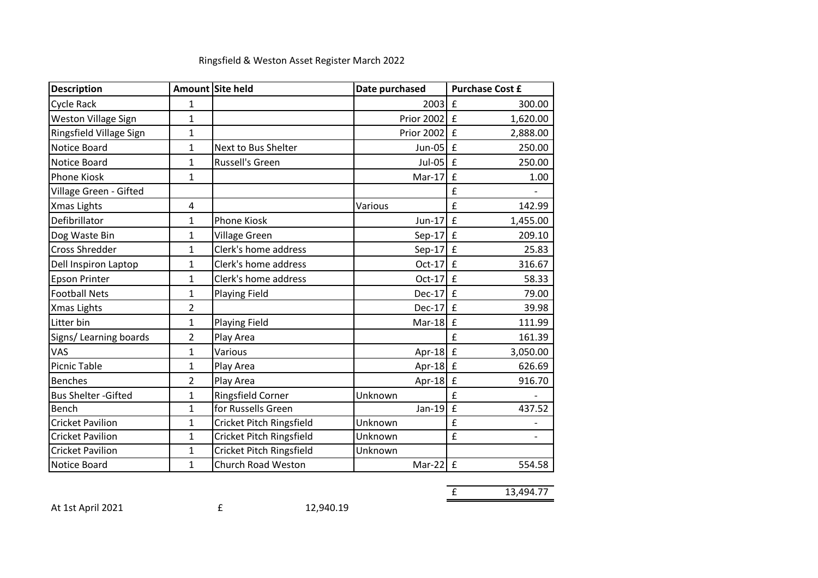| <b>Description</b>          |                | Amount Site held         | Date purchased | <b>Purchase Cost £</b>        |
|-----------------------------|----------------|--------------------------|----------------|-------------------------------|
| <b>Cycle Rack</b>           | $\mathbf 1$    |                          | 2003           | £<br>300.00                   |
| Weston Village Sign         | $\mathbf{1}$   |                          | Prior 2002     | $\mathbf f$<br>1,620.00       |
| Ringsfield Village Sign     | $\mathbf{1}$   |                          | Prior 2002     | $\mathbf f$<br>2,888.00       |
| Notice Board                | $\mathbf{1}$   | Next to Bus Shelter      | $Jun-05$       | $\mathbf f$<br>250.00         |
| Notice Board                | $\mathbf{1}$   | <b>Russell's Green</b>   | $Jul-05$       | $\mathbf f$<br>250.00         |
| <b>Phone Kiosk</b>          | $\mathbf{1}$   |                          | Mar-17         | £<br>1.00                     |
| Village Green - Gifted      |                |                          |                | £                             |
| <b>Xmas Lights</b>          | 4              |                          | Various        | £<br>142.99                   |
| Defibrillator               | $\mathbf 1$    | <b>Phone Kiosk</b>       | $Jun-17$       | £<br>1,455.00                 |
| Dog Waste Bin               | $\mathbf{1}$   | Village Green            | $Sep-17$       | $\mathbf f$<br>209.10         |
| <b>Cross Shredder</b>       | $\mathbf{1}$   | Clerk's home address     | $Sep-17$       | $\pounds$<br>25.83            |
| Dell Inspiron Laptop        | $\mathbf{1}$   | Clerk's home address     | $Oct-17$       | $\mathbf f$<br>316.67         |
| <b>Epson Printer</b>        | $\mathbf 1$    | Clerk's home address     | $Oct-17$       | £<br>58.33                    |
| <b>Football Nets</b>        | $\mathbf{1}$   | Playing Field            | $Dec-17$       | $\mathbf f$<br>79.00          |
| Xmas Lights                 | $\overline{2}$ |                          | Dec-17         | $\mathbf f$<br>39.98          |
| Litter bin                  | $\mathbf{1}$   | <b>Playing Field</b>     | $Mar-18$       | £<br>111.99                   |
| Signs/ Learning boards      | $\overline{2}$ | Play Area                |                | £<br>161.39                   |
| VAS                         | $\mathbf{1}$   | Various                  | Apr-18         | $\mathbf f$<br>3,050.00       |
| <b>Picnic Table</b>         | $\mathbf{1}$   | Play Area                | Apr-18         | $\mathbf f$<br>626.69         |
| <b>Benches</b>              | $\overline{2}$ | Play Area                | Apr-18         | $\pmb{\mathrm{f}}$<br>916.70  |
| <b>Bus Shelter - Gifted</b> | $\mathbf{1}$   | Ringsfield Corner        | Unknown        | £                             |
| Bench                       | $\mathbf{1}$   | for Russells Green       | $Jan-19$       | £<br>437.52                   |
| <b>Cricket Pavilion</b>     | $\mathbf{1}$   | Cricket Pitch Ringsfield | Unknown        | £                             |
| <b>Cricket Pavilion</b>     | $\mathbf{1}$   | Cricket Pitch Ringsfield | Unknown        | £<br>$\overline{\phantom{a}}$ |
| <b>Cricket Pavilion</b>     | $\mathbf{1}$   | Cricket Pitch Ringsfield | Unknown        |                               |
| Notice Board                | $\mathbf{1}$   | Church Road Weston       | Mar-22         | £<br>554.58                   |

## Ringsfield & Weston Asset Register March 2022

At 1st April 2021 **E** 12,940.19

£ 13,494.77